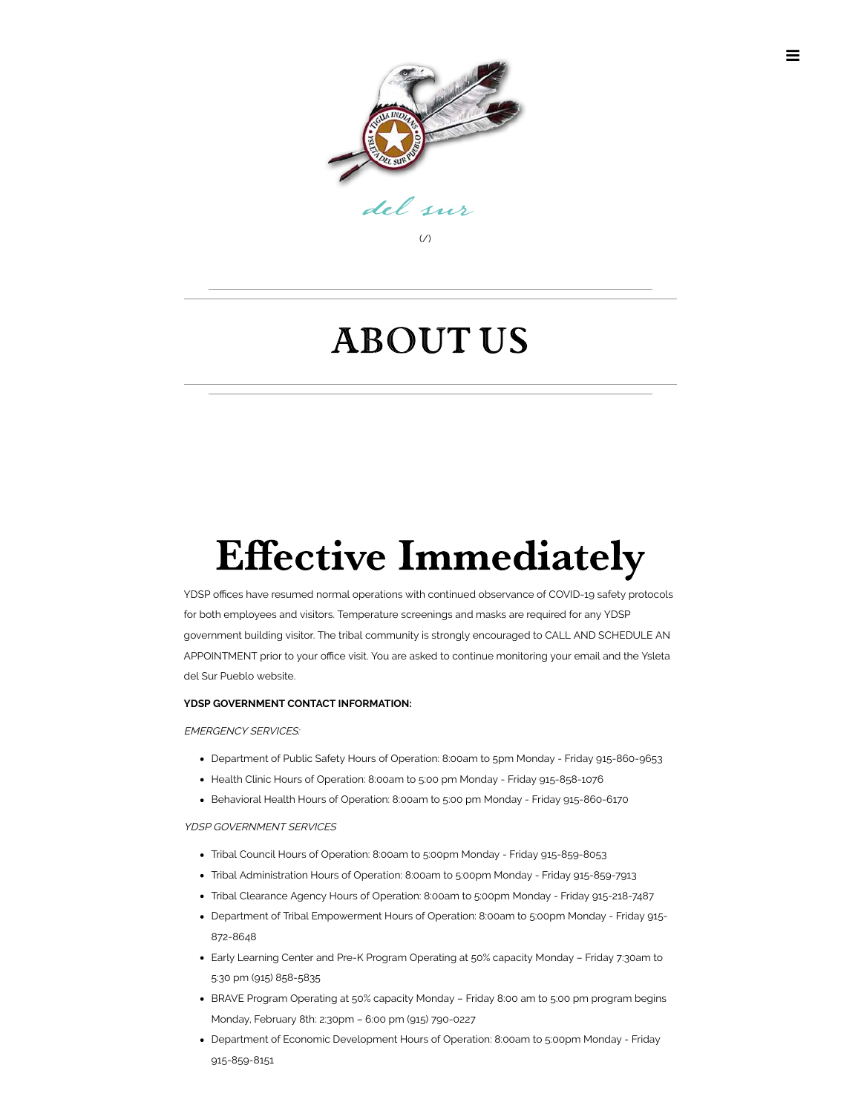

## About Us

# **Effective Immediately**

YDSP offices have resumed normal operations with continued observance of COVID-19 safety protocols for both employees and visitors. Temperature screenings and masks are required for any YDSP government building visitor. The tribal community is strongly encouraged to CALL AND SCHEDULE AN APPOINTMENT prior to your office visit. You are asked to continue monitoring your email and the Ysleta del Sur Pueblo website.

#### **YDSP GOVERNMENT CONTACT INFORMATION:**

#### EMERGENCY SERVICES:

- Department of Public Safety Hours of Operation: 8:00am to 5pm Monday Friday 915-860-9653
- Health Clinic Hours of Operation: 8:00am to 5:00 pm Monday Friday 915-858-1076
- Behavioral Health Hours of Operation: 8:00am to 5:00 pm Monday Friday 915-860-6170

#### YDSP GOVERNMENT SERVICES

- Tribal Council Hours of Operation: 8:00am to 5:00pm Monday Friday 915-859-8053
- Tribal Administration Hours of Operation: 8:00am to 5:00pm Monday Friday 915-859-7913
- Tribal Clearance Agency Hours of Operation: 8:00am to 5:00pm Monday Friday 915-218-7487
- Department of Tribal Empowerment Hours of Operation: 8:00am to 5:00pm Monday Friday 915- 872-8648
- Early Learning Center and Pre-K Program Operating at 50% capacity Monday Friday 7:30am to 5:30 pm (915) 858-5835
- BRAVE Program Operating at 50% capacity Monday Friday 8:00 am to 5:00 pm program begins Monday, February 8th: 2:30pm – 6:00 pm (915) 790-0227
- Department of Economic Development Hours of Operation: 8:00am to 5:00pm Monday Friday 915-859-8151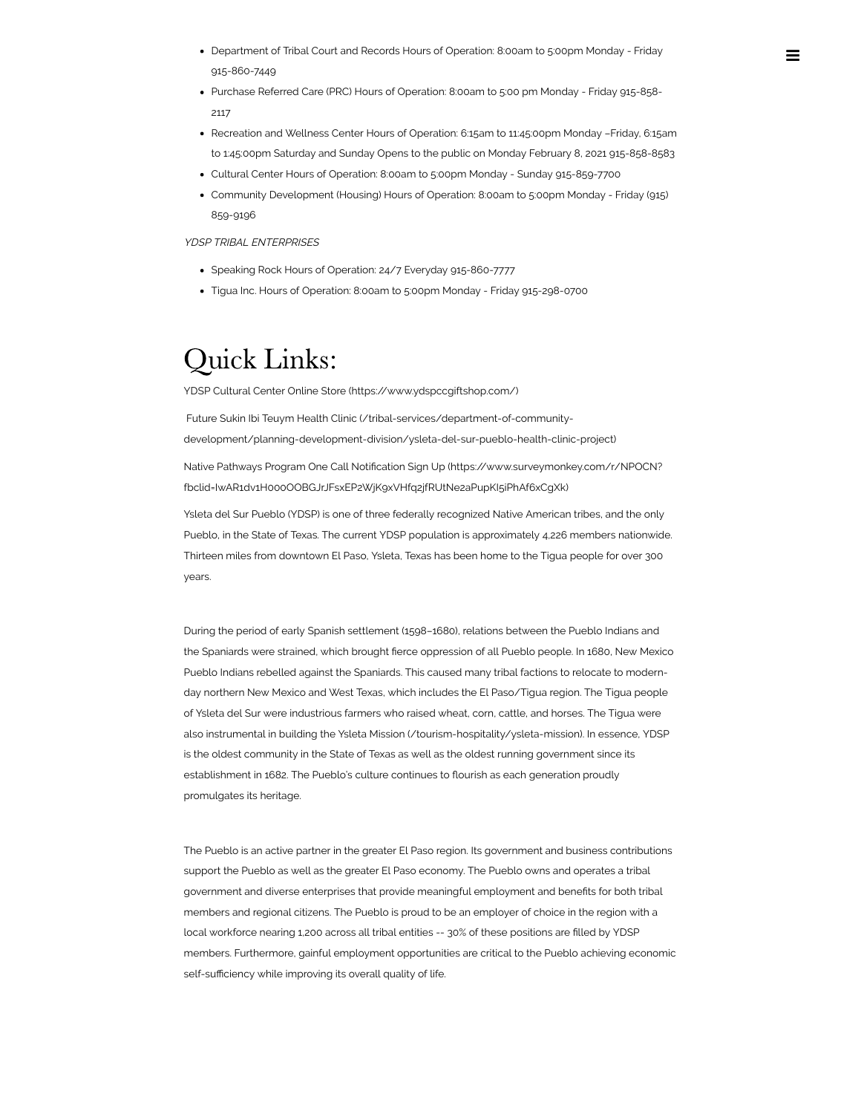- Department of Tribal Court and Records Hours of Operation: 8:00am to 5:00pm Monday Friday 915-860-7449
- Purchase Referred Care (PRC) Hours of Operation: 8:00am to 5:00 pm Monday Friday 915-858- 2117
- Recreation and Wellness Center Hours of Operation: 6:15am to 11:45:00pm Monday –Friday, 6:15am to 1:45:00pm Saturday and Sunday Opens to the public on Monday February 8, 2021 915-858-8583
- Cultural Center Hours of Operation: 8:00am to 5:00pm Monday Sunday 915-859-7700
- Community Development (Housing) Hours of Operation: 8:00am to 5:00pm Monday Friday (915) 859-9196

YDSP TRIBAL ENTERPRISES

- Speaking Rock Hours of Operation: 24/7 Everyday 915-860-7777
- Tigua Inc. Hours of Operation: 8:00am to 5:00pm Monday Friday 915-298-0700

## Quick Links:

YDSP Cultural Center Online Store [\(https://www.ydspccgiftshop.com/\)](https://www.ydspccgiftshop.com/)

 Future Sukin Ibi Teuym Health Clinic (/tribal-services/department-of-community[development/planning-development-division/ysleta-del-sur-pueblo-health-clinic-project\)](https://www.ysletadelsurpueblo.org/tribal-services/department-of-community-development/planning-development-division/ysleta-del-sur-pueblo-health-clinic-project)

Native Pathways Program One Call Notification Sign Up (https://www.surveymonkey.com/r/NPOCN? [fbclid=IwAR1dv1H000OOBGJrJFsxEP2WjK9xVHfq2jfRUtNe2aPupKI5iPhAf6xCgXk\)](https://www.surveymonkey.com/r/NPOCN?fbclid=IwAR1dv1H000OOBGJrJFsxEP2WjK9xVHfq2jfRUtNe2aPupKI5iPhAf6xCgXk)

 Ysleta del Sur Pueblo (YDSP) is one of three federally recognized Native American tribes, and the only Pueblo, in the State of Texas. The current YDSP population is approximately 4,226 members nationwide. Thirteen miles from downtown El Paso, Ysleta, Texas has been home to the Tigua people for over 300 years.

 During the period of early Spanish settlement (1598–1680), relations between the Pueblo Indians and the Spaniards were strained, which brought fierce oppression of all Pueblo people. In 1680, New Mexico Pueblo Indians rebelled against the Spaniards. This caused many tribal factions to relocate to modern- day northern New Mexico and West Texas, which includes the El Paso/Tigua region. The Tigua people of Ysleta del Sur were industrious farmers who raised wheat, corn, cattle, and horses. The Tigua were also instrumental in building the Ysleta Mission [\(/tourism-hospitality/ysleta-mission\).](https://www.ysletadelsurpueblo.org/tourism-hospitality/ysleta-mission) In essence, YDSP is the oldest community in the State of Texas as well as the oldest running government since its establishment in 1682. The Pueblo's culture continues to flourish as each generation proudly promulgates its heritage.

 The Pueblo is an active partner in the greater El Paso region. Its government and business contributions support the Pueblo as well as the greater El Paso economy. The Pueblo owns and operates a tribal government and diverse enterprises that provide meaningful employment and benefits for both tribal members and regional citizens. The Pueblo is proud to be an employer of choice in the region with a local workforce nearing 1,200 across all tribal entities -- 30% of these positions are lled by YDSP members. Furthermore, gainful employment opportunities are critical to the Pueblo achieving economic self-sufficiency while improving its overall quality of life.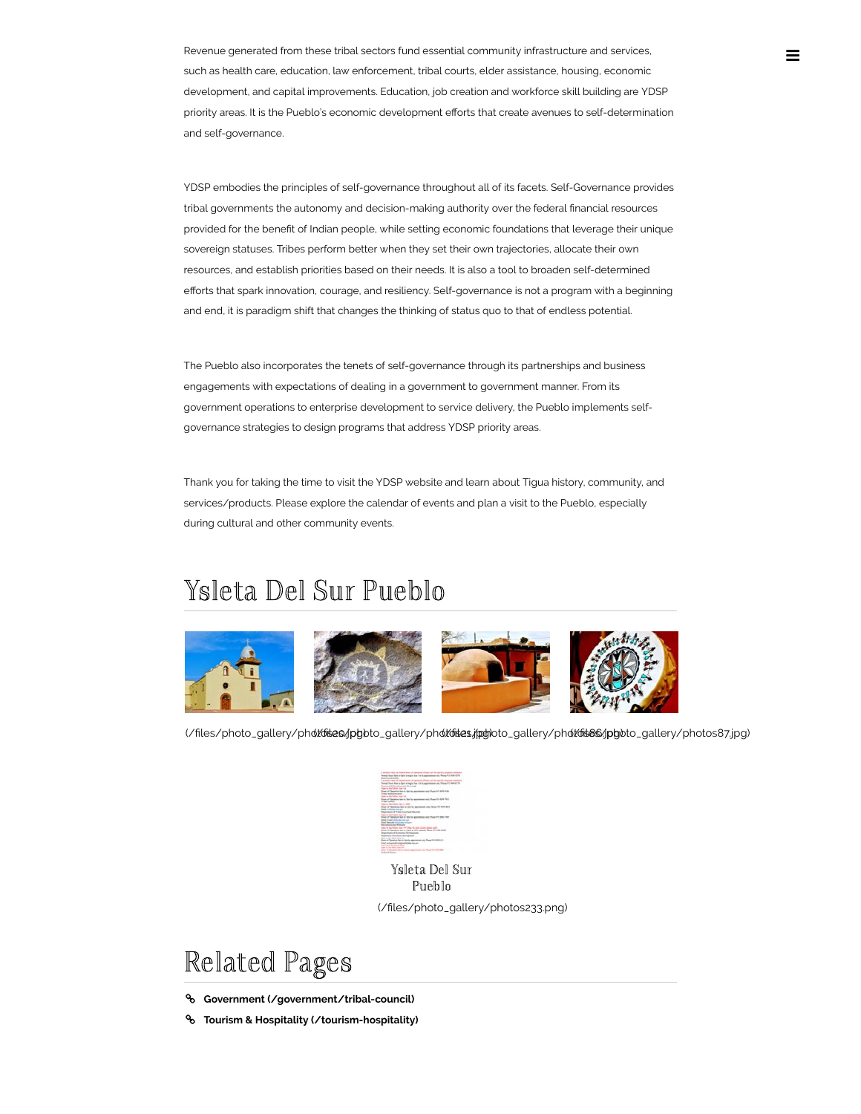Revenue generated from these tribal sectors fund essential community infrastructure and services, such as health care, education, law enforcement, tribal courts, elder assistance, housing, economic development, and capital improvements. Education, job creation and workforce skill building are YDSP priority areas. It is the Pueblo's economic development efforts that create avenues to self-determination and self-governance.

 YDSP embodies the principles of self-governance throughout all of its facets. Self-Governance provides tribal governments the autonomy and decision-making authority over the federal financial resources provided for the benefit of Indian people, while setting economic foundations that leverage their unique sovereign statuses. Tribes perform better when they set their own trajectories, allocate their own resources, and establish priorities based on their needs. It is also a tool to broaden self-determined efforts that spark innovation, courage, and resiliency. Self-governance is not a program with a beginning and end, it is paradigm shift that changes the thinking of status quo to that of endless potential.

 The Pueblo also incorporates the tenets of self-governance through its partnerships and business engagements with expectations of dealing in a government to government manner. From its government operations to enterprise development to service delivery, the Pueblo implements self-governance strategies to design programs that address YDSP priority areas.

 Thank you for taking the time to visit the YDSP website and learn about Tigua history, community, and services/products. Please explore the calendar of events and plan a visit to the Pueblo, especially during cultural and other community events.

### Ysleta Del Sur Pueblo



(/files/photo\_gallery/photobiaes/jphoto\_gallery/photobiaes/jptyloto\_gallery/photobiaes/jphoto\_gallery/photos87.jpg)

Ysleta Del Sur Pueblo (/files/photo\_gallery/photos233.png)

## Related Pages

- **Government [\(/government/tribal-council\)](https://www.ysletadelsurpueblo.org/government/tribal-council)**
- **Tourism & Hospitality [\(/tourism-hospitality\)](https://www.ysletadelsurpueblo.org/tourism-hospitality)**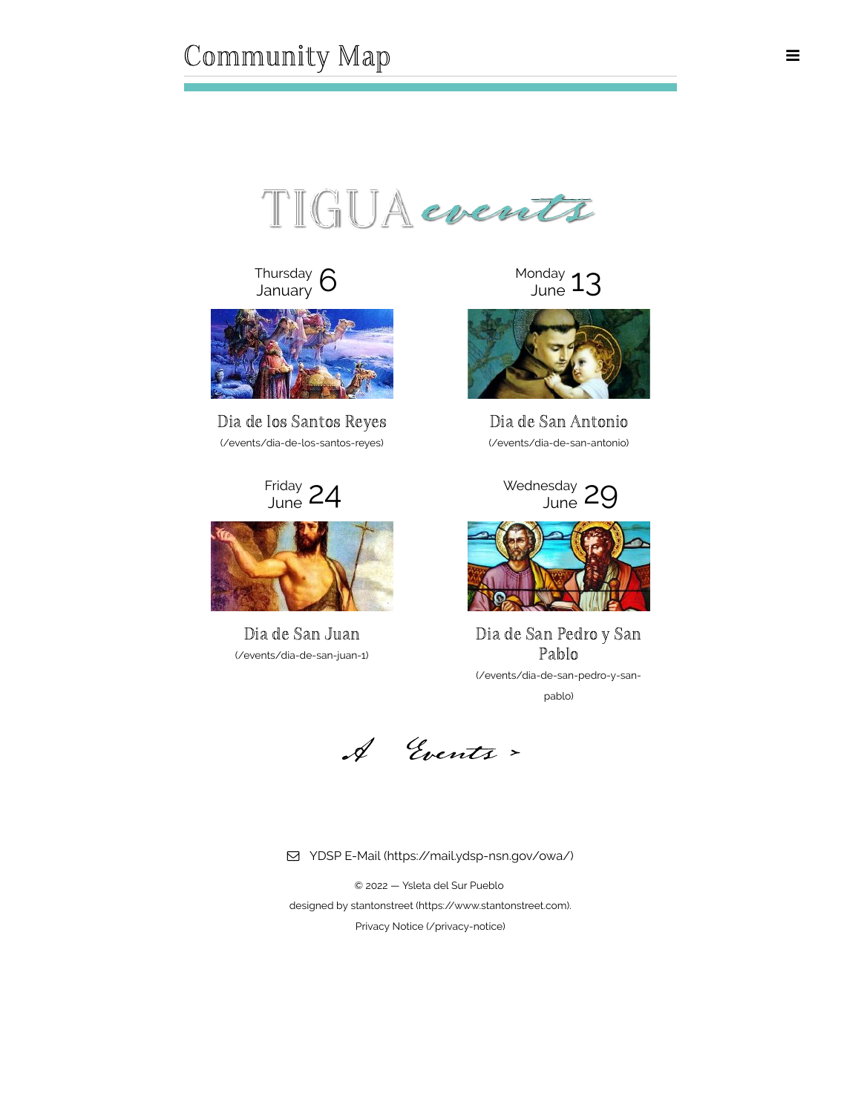TIGUA events

Thursday  $6$ <br>January  $6$ 



[Dia de los Santos Reyes](https://www.ysletadelsurpueblo.org/events/dia-de-los-santos-reyes) Dia de San Antonio (/events/dia-de-los-santos-reyes) (/events/dia-de-san-antonio)

Friday 24



[Dia de San Juan](https://www.ysletadelsurpueblo.org/events/dia-de-san-juan-1)  (/events/dia-de-san-juan-1)

 $M_{\text{June}}$  13



<sup>Friday</sup> 24 <sup>Wednesday</sup> 29



[Dia de San Pedro y San](https://www.ysletadelsurpueblo.org/events/dia-de-san-pedro-y-san-pablo) Pablo (/events/dia-de-san-pedro-y-sanpablo)

ÿ [A Events >](https://www.ysletadelsurpueblo.org/events) 

YDSP E-Mail [\(https://mail.ydsp-nsn.gov/owa/\)](https://mail.ydsp-nsn.gov/owa/)

 © 2022 — Ysleta del Sur Pueblo designed by stantonstreet [\(https://www.stantonstreet.com\).](https://www.stantonstreet.com/) Privacy Notice [\(/privacy-notice\)](https://www.ysletadelsurpueblo.org/privacy-notice)